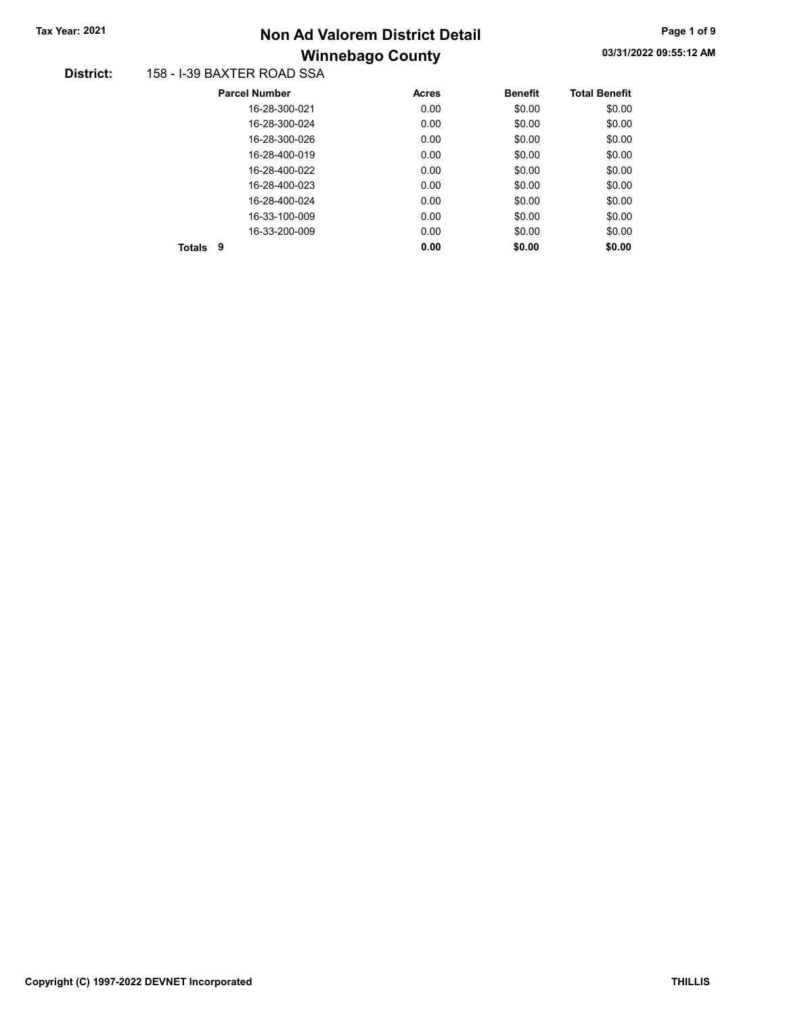# Winnebago County Tax Year: 2021 **Non Ad Valorem District Detail** Tax Year: 2021 **Page 1 of 9** 2021

#### District: 158 - I-39 BAXTER ROAD SSA

| <b>Parcel Number</b> | <b>Acres</b> | <b>Benefit</b> | <b>Total Benefit</b> |
|----------------------|--------------|----------------|----------------------|
| 16-28-300-021        | 0.00         | \$0.00         | \$0.00               |
| 16-28-300-024        | 0.00         | \$0.00         | \$0.00               |
| 16-28-300-026        | 0.00         | \$0.00         | \$0.00               |
| 16-28-400-019        | 0.00         | \$0.00         | \$0.00               |
| 16-28-400-022        | 0.00         | \$0.00         | \$0.00               |
| 16-28-400-023        | 0.00         | \$0.00         | \$0.00               |
| 16-28-400-024        | 0.00         | \$0.00         | \$0.00               |
| 16-33-100-009        | 0.00         | \$0.00         | \$0.00               |
| 16-33-200-009        | 0.00         | \$0.00         | \$0.00               |
| 9<br>Totals          | 0.00         | \$0.00         | \$0.00               |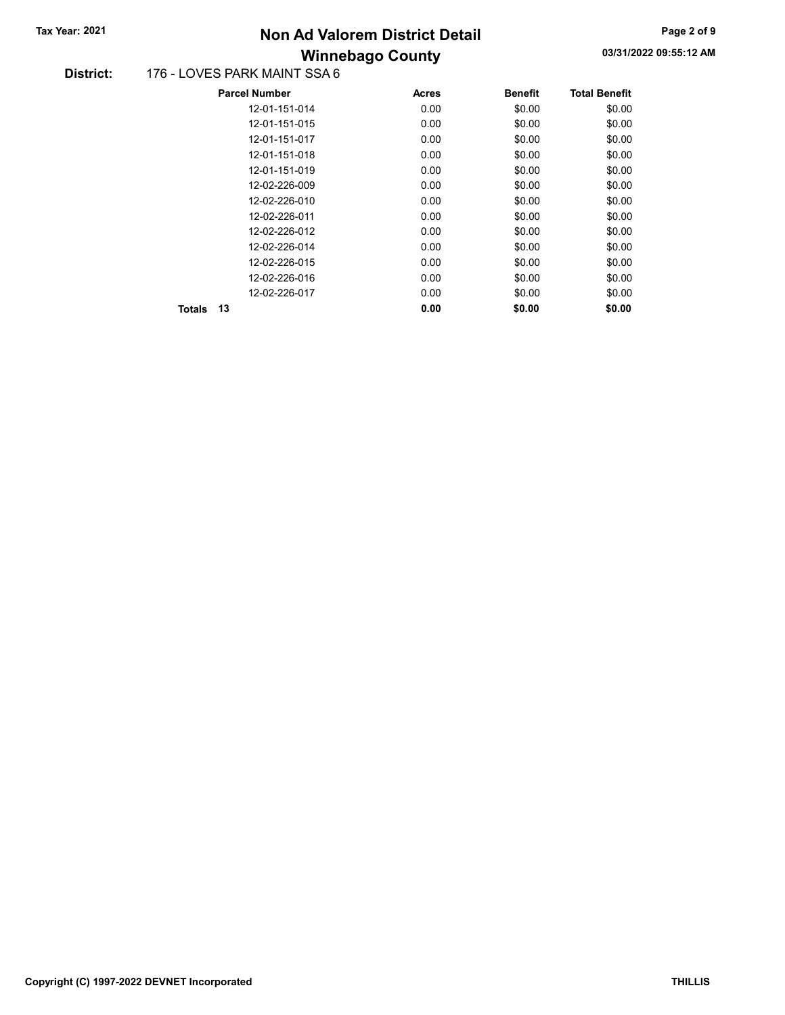# Winnebago County Tax Year: 2021 **Non Ad Valorem District Detail** Tax Year: 2021 **Page 2 of 9** 2021

#### District: 176 - LOVES PARK MAINT SSA 6

|              | <b>Parcel Number</b> | <b>Acres</b> | <b>Benefit</b> | <b>Total Benefit</b> |
|--------------|----------------------|--------------|----------------|----------------------|
|              | 12-01-151-014        | 0.00         | \$0.00         | \$0.00               |
|              | 12-01-151-015        | 0.00         | \$0.00         | \$0.00               |
|              | 12-01-151-017        | 0.00         | \$0.00         | \$0.00               |
|              | 12-01-151-018        | 0.00         | \$0.00         | \$0.00               |
|              | 12-01-151-019        | 0.00         | \$0.00         | \$0.00               |
|              | 12-02-226-009        | 0.00         | \$0.00         | \$0.00               |
|              | 12-02-226-010        | 0.00         | \$0.00         | \$0.00               |
|              | 12-02-226-011        | 0.00         | \$0.00         | \$0.00               |
|              | 12-02-226-012        | 0.00         | \$0.00         | \$0.00               |
|              | 12-02-226-014        | 0.00         | \$0.00         | \$0.00               |
|              | 12-02-226-015        | 0.00         | \$0.00         | \$0.00               |
|              | 12-02-226-016        | 0.00         | \$0.00         | \$0.00               |
|              | 12-02-226-017        | 0.00         | \$0.00         | \$0.00               |
| 13<br>Totals |                      | 0.00         | \$0.00         | \$0.00               |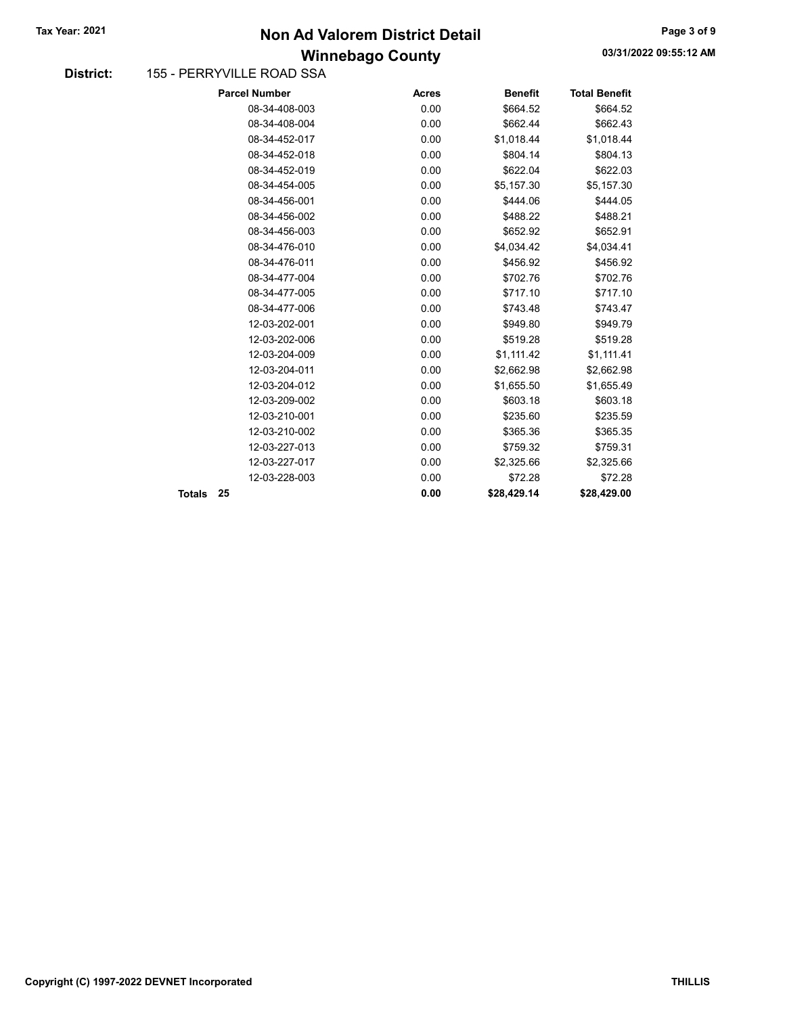## Winnebago County Tax Year: 2021 **Non Ad Valorem District Detail** Tax Year: 2021 **Page 3 of 9** 2021

#### District: 155 - PERRYVILLE ROAD SSA

| <b>Parcel Number</b> | <b>Acres</b> | <b>Benefit</b> | <b>Total Benefit</b> |
|----------------------|--------------|----------------|----------------------|
| 08-34-408-003        | 0.00         | \$664.52       | \$664.52             |
| 08-34-408-004        | 0.00         | \$662.44       | \$662.43             |
| 08-34-452-017        | 0.00         | \$1,018.44     | \$1,018.44           |
| 08-34-452-018        | 0.00         | \$804.14       | \$804.13             |
| 08-34-452-019        | 0.00         | \$622.04       | \$622.03             |
| 08-34-454-005        | 0.00         | \$5,157.30     | \$5,157.30           |
| 08-34-456-001        | 0.00         | \$444.06       | \$444.05             |
| 08-34-456-002        | 0.00         | \$488.22       | \$488.21             |
| 08-34-456-003        | 0.00         | \$652.92       | \$652.91             |
| 08-34-476-010        | 0.00         | \$4,034.42     | \$4,034.41           |
| 08-34-476-011        | 0.00         | \$456.92       | \$456.92             |
| 08-34-477-004        | 0.00         | \$702.76       | \$702.76             |
| 08-34-477-005        | 0.00         | \$717.10       | \$717.10             |
| 08-34-477-006        | 0.00         | \$743.48       | \$743.47             |
| 12-03-202-001        | 0.00         | \$949.80       | \$949.79             |
| 12-03-202-006        | 0.00         | \$519.28       | \$519.28             |
| 12-03-204-009        | 0.00         | \$1,111.42     | \$1,111.41           |
| 12-03-204-011        | 0.00         | \$2,662.98     | \$2,662.98           |
| 12-03-204-012        | 0.00         | \$1,655.50     | \$1,655.49           |
| 12-03-209-002        | 0.00         | \$603.18       | \$603.18             |
| 12-03-210-001        | 0.00         | \$235.60       | \$235.59             |
| 12-03-210-002        | 0.00         | \$365.36       | \$365.35             |
| 12-03-227-013        | 0.00         | \$759.32       | \$759.31             |
| 12-03-227-017        | 0.00         | \$2,325.66     | \$2,325.66           |
| 12-03-228-003        | 0.00         | \$72.28        | \$72.28              |
| 25                   | 0.00         | \$28,429.14    | \$28,429.00          |
|                      |              |                |                      |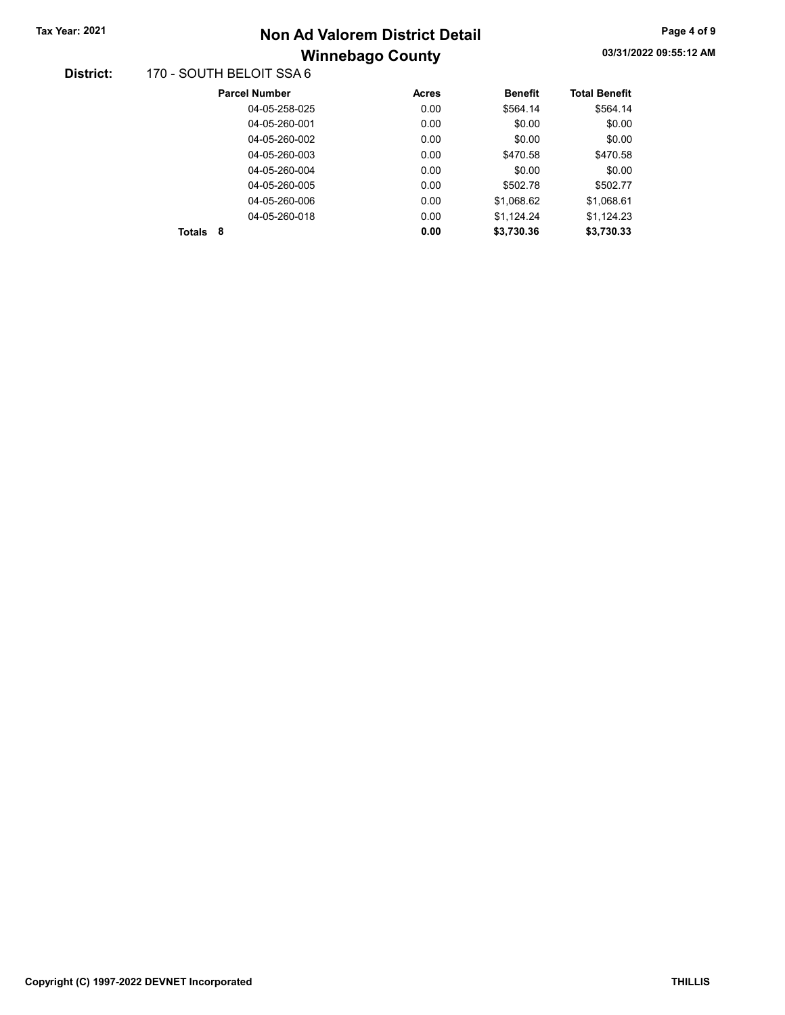# Winnebago County Tax Year: 2021 **Non Ad Valorem District Detail** Tax Year: 2021 **Page 4 of 9** 2021

#### District: 170 - SOUTH BELOIT SSA 6

| <b>Parcel Number</b> | <b>Acres</b> | <b>Benefit</b> | <b>Total Benefit</b> |
|----------------------|--------------|----------------|----------------------|
| 04-05-258-025        | 0.00         | \$564.14       | \$564.14             |
| 04-05-260-001        | 0.00         | \$0.00         | \$0.00               |
| 04-05-260-002        | 0.00         | \$0.00         | \$0.00               |
| 04-05-260-003        | 0.00         | \$470.58       | \$470.58             |
| 04-05-260-004        | 0.00         | \$0.00         | \$0.00               |
| 04-05-260-005        | 0.00         | \$502.78       | \$502.77             |
| 04-05-260-006        | 0.00         | \$1.068.62     | \$1,068.61           |
| 04-05-260-018        | 0.00         | \$1,124.24     | \$1,124.23           |
| 8<br><b>Totals</b>   | 0.00         | \$3,730.36     | \$3.730.33           |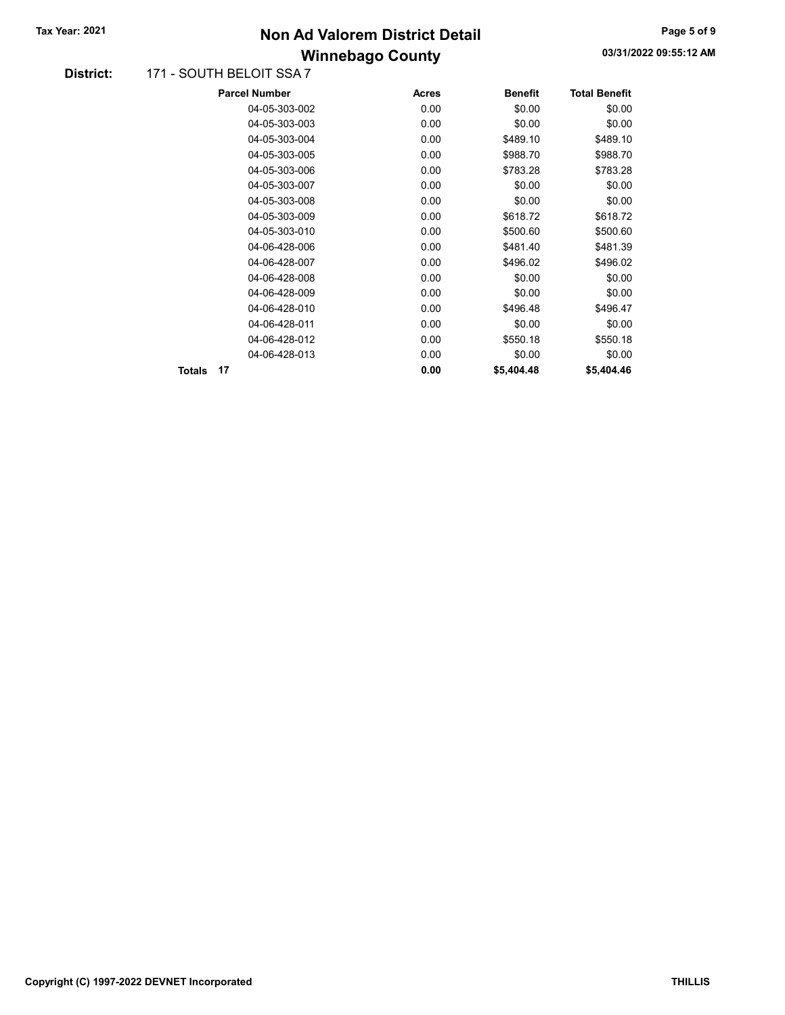## Winnebago County Tax Year: 2021 **Non Ad Valorem District Detail** Tax Year: 2021 **Page 5 of 9** 2021

#### District: 171 - SOUTH BELOIT SSA 7

|        |    | <b>Parcel Number</b> | <b>Acres</b> | <b>Benefit</b> | <b>Total Benefit</b> |
|--------|----|----------------------|--------------|----------------|----------------------|
|        |    | 04-05-303-002        | 0.00         | \$0.00         | \$0.00               |
|        |    | 04-05-303-003        | 0.00         | \$0.00         | \$0.00               |
|        |    | 04-05-303-004        | 0.00         | \$489.10       | \$489.10             |
|        |    | 04-05-303-005        | 0.00         | \$988.70       | \$988.70             |
|        |    | 04-05-303-006        | 0.00         | \$783.28       | \$783.28             |
|        |    | 04-05-303-007        | 0.00         | \$0.00         | \$0.00               |
|        |    | 04-05-303-008        | 0.00         | \$0.00         | \$0.00               |
|        |    | 04-05-303-009        | 0.00         | \$618.72       | \$618.72             |
|        |    | 04-05-303-010        | 0.00         | \$500.60       | \$500.60             |
|        |    | 04-06-428-006        | 0.00         | \$481.40       | \$481.39             |
|        |    | 04-06-428-007        | 0.00         | \$496.02       | \$496.02             |
|        |    | 04-06-428-008        | 0.00         | \$0.00         | \$0.00               |
|        |    | 04-06-428-009        | 0.00         | \$0.00         | \$0.00               |
|        |    | 04-06-428-010        | 0.00         | \$496.48       | \$496.47             |
|        |    | 04-06-428-011        | 0.00         | \$0.00         | \$0.00               |
|        |    | 04-06-428-012        | 0.00         | \$550.18       | \$550.18             |
|        |    | 04-06-428-013        | 0.00         | \$0.00         | \$0.00               |
| Totals | 17 |                      | 0.00         | \$5,404.48     | \$5,404.46           |
|        |    |                      |              |                |                      |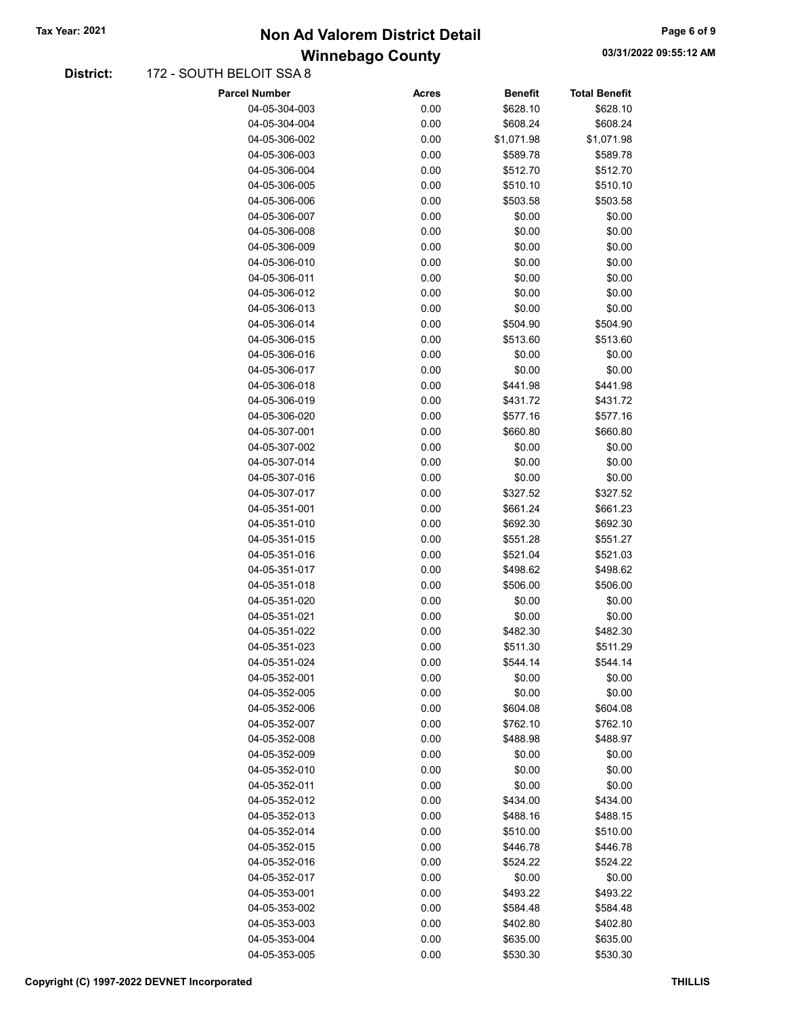## Winnebago County Tax Year: 2021 **Non Ad Valorem District Detail** Tax Year: 2021 **Page 6 of 9** 2021

#### District: 172 - SOUTH BELOIT SSA 8

| Parcel Number                  | Acres        | <b>Benefit</b>     | Total Benefit        |
|--------------------------------|--------------|--------------------|----------------------|
| 04-05-304-003                  | 0.00         | \$628.10           | \$628.10             |
| 04-05-304-004                  | 0.00         | \$608.24           | \$608.24             |
| 04-05-306-002                  | 0.00         | \$1,071.98         | \$1,071.98           |
| 04-05-306-003                  | 0.00         | \$589.78           | \$589.78             |
| 04-05-306-004                  | 0.00         | \$512.70           | \$512.70             |
| 04-05-306-005                  | 0.00         | \$510.10           | \$510.10             |
| 04-05-306-006                  | 0.00         | \$503.58           | \$503.58             |
| 04-05-306-007                  | 0.00         | \$0.00             | \$0.00               |
| 04-05-306-008                  | 0.00         | \$0.00             | \$0.00               |
| 04-05-306-009                  | 0.00         | \$0.00             | \$0.00               |
| 04-05-306-010                  | 0.00         | \$0.00             | \$0.00               |
| 04-05-306-011                  | 0.00         | \$0.00             | \$0.00               |
| 04-05-306-012                  | 0.00         | \$0.00             | \$0.00               |
| 04-05-306-013                  | 0.00         | \$0.00             | \$0.00               |
| 04-05-306-014                  | 0.00         | \$504.90           | \$504.90             |
| 04-05-306-015                  | 0.00         | \$513.60           | \$513.60             |
| 04-05-306-016                  | 0.00         | \$0.00             | \$0.00               |
| 04-05-306-017                  | 0.00         | \$0.00             | \$0.00               |
| 04-05-306-018                  | 0.00         | \$441.98           | \$441.98             |
| 04-05-306-019                  | 0.00         | \$431.72           | \$431.72             |
| 04-05-306-020                  | 0.00         | \$577.16           | \$577.16             |
| 04-05-307-001                  | 0.00         | \$660.80           | \$660.80             |
| 04-05-307-002                  | 0.00         | \$0.00             | \$0.00               |
| 04-05-307-014                  | 0.00         | \$0.00             | \$0.00               |
| 04-05-307-016                  | 0.00         | \$0.00             | \$0.00               |
| 04-05-307-017                  | 0.00         | \$327.52           | \$327.52             |
| 04-05-351-001                  | 0.00         | \$661.24           | \$661.23             |
| 04-05-351-010                  | 0.00         | \$692.30           | \$692.30             |
| 04-05-351-015                  | 0.00         | \$551.28           | \$551.27             |
| 04-05-351-016                  | 0.00         | \$521.04           | \$521.03             |
| 04-05-351-017                  | 0.00         | \$498.62           | \$498.62             |
| 04-05-351-018                  | 0.00         | \$506.00           | \$506.00             |
| 04-05-351-020                  | 0.00         | \$0.00             | \$0.00               |
| 04-05-351-021                  | 0.00         | \$0.00             | \$0.00               |
| 04-05-351-022                  | 0.00         | \$482.30           | \$482.30             |
| 04-05-351-023                  | 0.00         | \$511.30           | \$511.29             |
| 04-05-351-024                  | 0.00         | \$544.14           | \$544.14             |
| 04-05-352-001                  | 0.00         | \$0.00             | \$0.00               |
| 04-05-352-005                  | 0.00         | \$0.00             | \$0.00               |
| 04-05-352-006                  | 0.00         | \$604.08           | \$604.08             |
| 04-05-352-007                  | 0.00         | \$762.10           | \$762.10             |
| 04-05-352-008                  | 0.00         | \$488.98           | \$488.97             |
| 04-05-352-009                  | 0.00         | \$0.00             | \$0.00               |
| 04-05-352-010                  | 0.00         | \$0.00             | \$0.00               |
| 04-05-352-011                  | 0.00         | \$0.00             |                      |
| 04-05-352-012                  | 0.00         | \$434.00           | \$0.00               |
| 04-05-352-013                  | 0.00         | \$488.16           | \$434.00<br>\$488.15 |
| 04-05-352-014                  | 0.00         | \$510.00           | \$510.00             |
| 04-05-352-015                  | 0.00         | \$446.78           | \$446.78             |
|                                |              |                    |                      |
| 04-05-352-016<br>04-05-352-017 | 0.00<br>0.00 | \$524.22<br>\$0.00 | \$524.22             |
|                                |              |                    | \$0.00               |
| 04-05-353-001                  | 0.00         | \$493.22           | \$493.22             |
| 04-05-353-002                  | 0.00         | \$584.48           | \$584.48             |
| 04-05-353-003                  | 0.00         | \$402.80           | \$402.80             |
| 04-05-353-004                  | 0.00         | \$635.00           | \$635.00             |
| 04-05-353-005                  | 0.00         | \$530.30           | \$530.30             |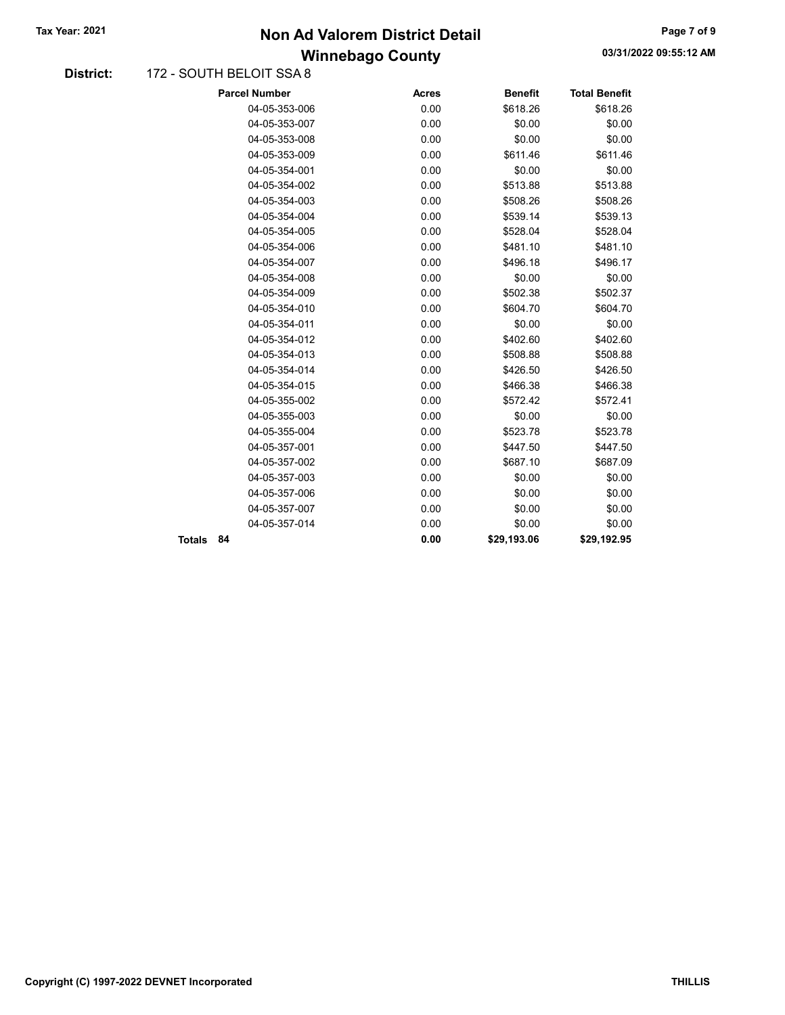## Winnebago County Tax Year: 2021 **Non Ad Valorem District Detail** Tax Year: 2021 **Page 7 of 9** 2021

#### District: 172 - SOUTH BELOIT SSA 8

|        | <b>Parcel Number</b> | <b>Acres</b> | <b>Benefit</b> | <b>Total Benefit</b> |
|--------|----------------------|--------------|----------------|----------------------|
|        | 04-05-353-006        | 0.00         | \$618.26       | \$618.26             |
|        | 04-05-353-007        | 0.00         | \$0.00         | \$0.00               |
|        | 04-05-353-008        | 0.00         | \$0.00         | \$0.00               |
|        | 04-05-353-009        | 0.00         | \$611.46       | \$611.46             |
|        | 04-05-354-001        | 0.00         | \$0.00         | \$0.00               |
|        | 04-05-354-002        | 0.00         | \$513.88       | \$513.88             |
|        | 04-05-354-003        | 0.00         | \$508.26       | \$508.26             |
|        | 04-05-354-004        | 0.00         | \$539.14       | \$539.13             |
|        | 04-05-354-005        | 0.00         | \$528.04       | \$528.04             |
|        | 04-05-354-006        | 0.00         | \$481.10       | \$481.10             |
|        | 04-05-354-007        | 0.00         | \$496.18       | \$496.17             |
|        | 04-05-354-008        | 0.00         | \$0.00         | \$0.00               |
|        | 04-05-354-009        | 0.00         | \$502.38       | \$502.37             |
|        | 04-05-354-010        | 0.00         | \$604.70       | \$604.70             |
|        | 04-05-354-011        | 0.00         | \$0.00         | \$0.00               |
|        | 04-05-354-012        | 0.00         | \$402.60       | \$402.60             |
|        | 04-05-354-013        | 0.00         | \$508.88       | \$508.88             |
|        | 04-05-354-014        | 0.00         | \$426.50       | \$426.50             |
|        | 04-05-354-015        | 0.00         | \$466.38       | \$466.38             |
|        | 04-05-355-002        | 0.00         | \$572.42       | \$572.41             |
|        | 04-05-355-003        | 0.00         | \$0.00         | \$0.00               |
|        | 04-05-355-004        | 0.00         | \$523.78       | \$523.78             |
|        | 04-05-357-001        | 0.00         | \$447.50       | \$447.50             |
|        | 04-05-357-002        | 0.00         | \$687.10       | \$687.09             |
|        | 04-05-357-003        | 0.00         | \$0.00         | \$0.00               |
|        | 04-05-357-006        | 0.00         | \$0.00         | \$0.00               |
|        | 04-05-357-007        | 0.00         | \$0.00         | \$0.00               |
|        | 04-05-357-014        | 0.00         | \$0.00         | \$0.00               |
| Totals | 84                   | 0.00         | \$29,193.06    | \$29,192.95          |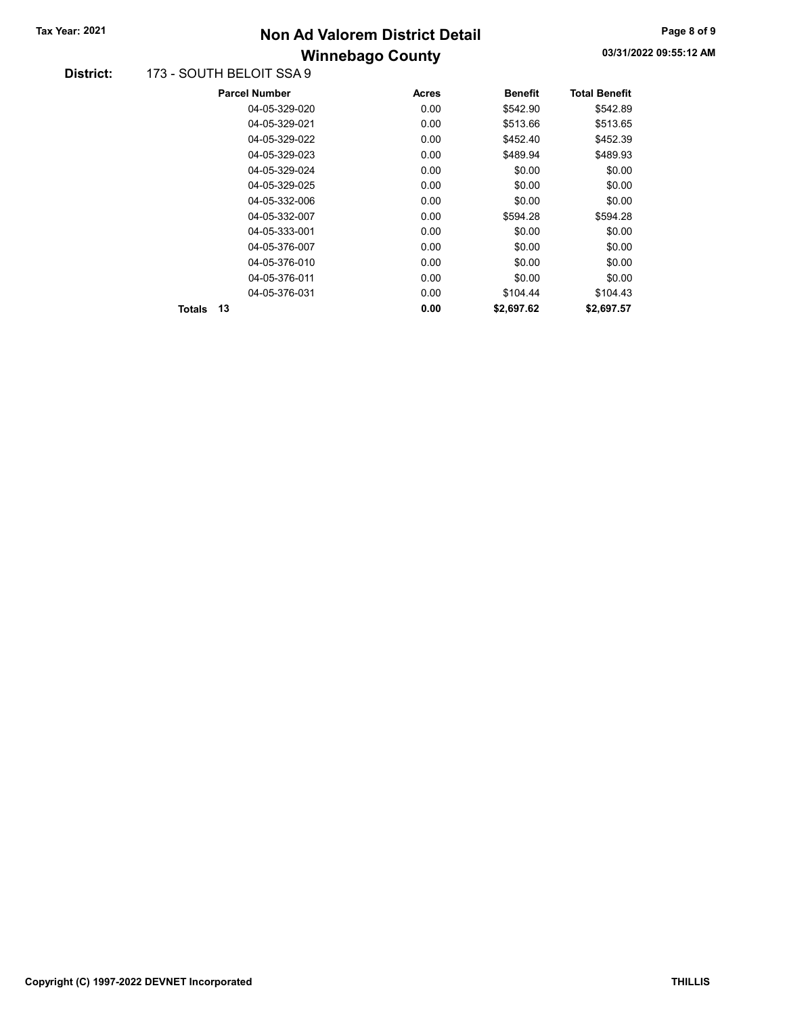# Winnebago County Tax Year: 2021 **Non Ad Valorem District Detail** Tax Year: 2021 **Page 8 of 9** 2021

#### District: 173 - SOUTH BELOIT SSA 9

|              | <b>Parcel Number</b> | Acres | <b>Benefit</b> | <b>Total Benefit</b> |
|--------------|----------------------|-------|----------------|----------------------|
|              | 04-05-329-020        | 0.00  | \$542.90       | \$542.89             |
|              | 04-05-329-021        | 0.00  | \$513.66       | \$513.65             |
|              | 04-05-329-022        | 0.00  | \$452.40       | \$452.39             |
|              | 04-05-329-023        | 0.00  | \$489.94       | \$489.93             |
|              | 04-05-329-024        | 0.00  | \$0.00         | \$0.00               |
|              | 04-05-329-025        | 0.00  | \$0.00         | \$0.00               |
|              | 04-05-332-006        | 0.00  | \$0.00         | \$0.00               |
|              | 04-05-332-007        | 0.00  | \$594.28       | \$594.28             |
|              | 04-05-333-001        | 0.00  | \$0.00         | \$0.00               |
|              | 04-05-376-007        | 0.00  | \$0.00         | \$0.00               |
|              | 04-05-376-010        | 0.00  | \$0.00         | \$0.00               |
|              | 04-05-376-011        | 0.00  | \$0.00         | \$0.00               |
|              | 04-05-376-031        | 0.00  | \$104.44       | \$104.43             |
| 13<br>Totals |                      | 0.00  | \$2,697.62     | \$2,697.57           |